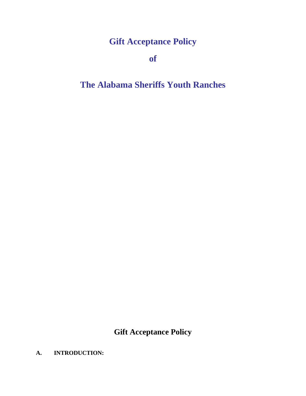# **Gift Acceptance Policy**

**of**

# **The Alabama Sheriffs Youth Ranches**

**Gift Acceptance Policy**

## **A. INTRODUCTION:**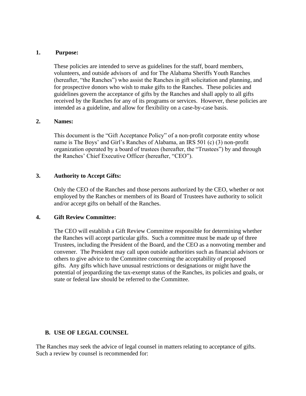## 1. **1. Purpose:**

These policies are intended to serve as guidelines for the staff, board members, volunteers, and outside advisors of and for The Alabama Sheriffs Youth Ranches (hereafter, "the Ranches") who assist the Ranches in gift solicitation and planning, and for prospective donors who wish to make gifts to the Ranches. These policies and guidelines govern the acceptance of gifts by the Ranches and shall apply to all gifts received by the Ranches for any of its programs or services. However, these policies are intended as a guideline, and allow for flexibility on a case-by-case basis.

## **2. Names:**

This document is the "Gift Acceptance Policy" of a non-profit corporate entity whose name is The Boys' and Girl's Ranches of Alabama, an IRS 501 (c) (3) non-profit organization operated by a board of trustees (hereafter, the "Trustees") by and through the Ranches' Chief Executive Officer (hereafter, "CEO").

## **3. Authority to Accept Gifts:**

Only the CEO of the Ranches and those persons authorized by the CEO, whether or not employed by the Ranches or members of its Board of Trustees have authority to solicit and/or accept gifts on behalf of the Ranches.

## **4. Gift Review Committee:**

The CEO will establish a Gift Review Committee responsible for determining whether the Ranches will accept particular gifts. Such a committee must be made up of three Trustees, including the President of the Board, and the CEO as a nonvoting member and convener. The President may call upon outside authorities such as financial advisors or others to give advice to the Committee concerning the acceptability of proposed gifts. Any gifts which have unusual restrictions or designations or might have the potential of jeopardizing the tax-exempt status of the Ranches, its policies and goals, or state or federal law should be referred to the Committee.

## **B. USE OF LEGAL COUNSEL**

The Ranches may seek the advice of legal counsel in matters relating to acceptance of gifts. Such a review by counsel is recommended for: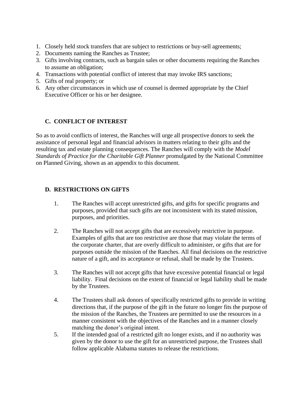- 1. Closely held stock transfers that are subject to restrictions or buy-sell agreements;
- 2. Documents naming the Ranches as Trustee;
- 3. Gifts involving contracts, such as bargain sales or other documents requiring the Ranches to assume an obligation;
- 4. Transactions with potential conflict of interest that may invoke IRS sanctions;
- 5. Gifts of real property; or
- 6. Any other circumstances in which use of counsel is deemed appropriate by the Chief Executive Officer or his or her designee.

## **C. CONFLICT OF INTEREST**

So as to avoid conflicts of interest, the Ranches will urge all prospective donors to seek the assistance of personal legal and financial advisors in matters relating to their gifts and the resulting tax and estate planning consequences. The Ranches will comply with the *Model Standards of Practice for the Charitable Gift Planner* promulgated by the National Committee on Planned Giving, shown as an appendix to this document.

## **D. RESTRICTIONS ON GIFTS**

- 1. The Ranches will accept unrestricted gifts, and gifts for specific programs and purposes, provided that such gifts are not inconsistent with its stated mission, purposes, and priorities.
- 2. The Ranches will not accept gifts that are excessively restrictive in purpose. Examples of gifts that are too restrictive are those that may violate the terms of the corporate charter, that are overly difficult to administer, or gifts that are for purposes outside the mission of the Ranches. All final decisions on the restrictive nature of a gift, and its acceptance or refusal, shall be made by the Trustees.
- 3. The Ranches will not accept gifts that have excessive potential financial or legal liability. Final decisions on the extent of financial or legal liability shall be made by the Trustees.
- 4. The Trustees shall ask donors of specifically restricted gifts to provide in writing directions that, if the purpose of the gift in the future no longer fits the purpose of the mission of the Ranches, the Trustees are permitted to use the resources in a manner consistent with the objectives of the Ranches and in a manner closely matching the donor's original intent.
- 5. If the intended goal of a restricted gift no longer exists, and if no authority was given by the donor to use the gift for an unrestricted purpose, the Trustees shall follow applicable Alabama statutes to release the restrictions.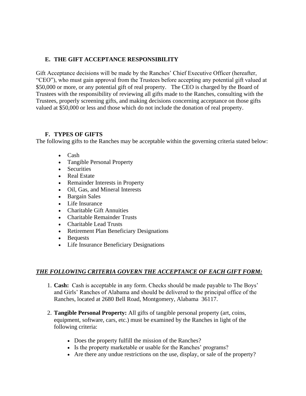## **E. THE GIFT ACCEPTANCE RESPONSIBILITY**

Gift Acceptance decisions will be made by the Ranches' Chief Executive Officer (hereafter, "CEO"), who must gain approval from the Trustees before accepting any potential gift valued at \$50,000 or more, or any potential gift of real property. The CEO is charged by the Board of Trustees with the responsibility of reviewing all gifts made to the Ranches, consulting with the Trustees, properly screening gifts, and making decisions concerning acceptance on those gifts valued at \$50,000 or less and those which do not include the donation of real property.

## **F. TYPES OF GIFTS**

The following gifts to the Ranches may be acceptable within the governing criteria stated below:

- Cash
- Tangible Personal Property
- Securities
- Real Estate
- Remainder Interests in Property
- Oil, Gas, and Mineral Interests
- Bargain Sales
- Life Insurance
- Charitable Gift Annuities
- Charitable Remainder Trusts
- Charitable Lead Trusts
- Retirement Plan Beneficiary Designations
- Bequests
- Life Insurance Beneficiary Designations

## *THE FOLLOWING CRITERIA GOVERN THE ACCEPTANCE OF EACH GIFT FORM:*

- 1. **Cash:** Cash is acceptable in any form. Checks should be made payable to The Boys' and Girls' Ranches of Alabama and should be delivered to the principal office of the Ranches, located at 2680 Bell Road, Montgomery, Alabama 36117.
- 2. **Tangible Personal Property:** All gifts of tangible personal property (art, coins, equipment, software, cars, etc.) must be examined by the Ranches in light of the following criteria:
	- Does the property fulfill the mission of the Ranches?
	- Is the property marketable or usable for the Ranches' programs?
	- Are there any undue restrictions on the use, display, or sale of the property?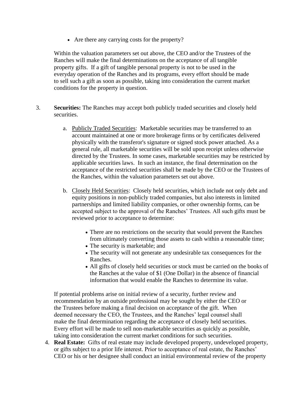• Are there any carrying costs for the property?

Within the valuation parameters set out above, the CEO and/or the Trustees of the Ranches will make the final determinations on the acceptance of all tangible property gifts. If a gift of tangible personal property is not to be used in the everyday operation of the Ranches and its programs, every effort should be made to sell such a gift as soon as possible, taking into consideration the current market conditions for the property in question.

- 3. **Securities:** The Ranches may accept both publicly traded securities and closely held securities.
	- a. Publicly Traded Securities: Marketable securities may be transferred to an account maintained at one or more brokerage firms or by certificates delivered physically with the transferor's signature or signed stock power attached. As a general rule, all marketable securities will be sold upon receipt unless otherwise directed by the Trustees. In some cases, marketable securities may be restricted by applicable securities laws. In such an instance, the final determination on the acceptance of the restricted securities shall be made by the CEO or the Trustees of the Ranches, within the valuation parameters set out above.
	- b. Closely Held Securities: Closely held securities, which include not only debt and equity positions in non-publicly traded companies, but also interests in limited partnerships and limited liability companies, or other ownership forms, can be accepted subject to the approval of the Ranches' Trustees. All such gifts must be reviewed prior to acceptance to determine:
		- There are no restrictions on the security that would prevent the Ranches from ultimately converting those assets to cash within a reasonable time;
		- The security is marketable; and
		- The security will not generate any undesirable tax consequences for the Ranches.
		- All gifts of closely held securities or stock must be carried on the books of the Ranches at the value of \$1 (One Dollar) in the absence of financial information that would enable the Ranches to determine its value.

If potential problems arise on initial review of a security, further review and recommendation by an outside professional may be sought by either the CEO or the Trustees before making a final decision on acceptance of the gift. When deemed necessary the CEO, the Trustees, and the Ranches' legal counsel shall make the final determination regarding the acceptance of closely held securities. Every effort will be made to sell non-marketable securities as quickly as possible, taking into consideration the current market conditions for such securities.

4. **Real Estate:** Gifts of real estate may include developed property, undeveloped property, or gifts subject to a prior life interest. Prior to acceptance of real estate, the Ranches' CEO or his or her designee shall conduct an initial environmental review of the property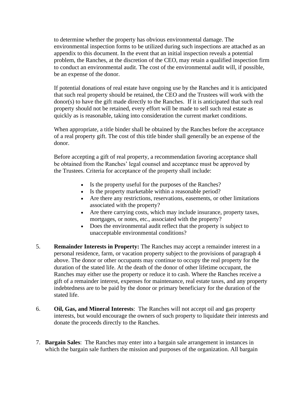to determine whether the property has obvious environmental damage. The environmental inspection forms to be utilized during such inspections are attached as an appendix to this document. In the event that an initial inspection reveals a potential problem, the Ranches, at the discretion of the CEO, may retain a qualified inspection firm to conduct an environmental audit. The cost of the environmental audit will, if possible, be an expense of the donor.

If potential donations of real estate have ongoing use by the Ranches and it is anticipated that such real property should be retained, the CEO and the Trustees will work with the donor(s) to have the gift made directly to the Ranches. If it is anticipated that such real property should not be retained, every effort will be made to sell such real estate as quickly as is reasonable, taking into consideration the current market conditions.

When appropriate, a title binder shall be obtained by the Ranches before the acceptance of a real property gift. The cost of this title binder shall generally be an expense of the donor.

Before accepting a gift of real property, a recommendation favoring acceptance shall be obtained from the Ranches' legal counsel and acceptance must be approved by the Trustees. Criteria for acceptance of the property shall include:

- Is the property useful for the purposes of the Ranches?
- Is the property marketable within a reasonable period?
- Are there any restrictions, reservations, easements, or other limitations associated with the property?
- Are there carrying costs, which may include insurance, property taxes, mortgages, or notes, etc., associated with the property?
- Does the environmental audit reflect that the property is subject to unacceptable environmental conditions?
- 5. **Remainder Interests in Property:** The Ranches may accept a remainder interest in a personal residence, farm, or vacation property subject to the provisions of paragraph 4 above. The donor or other occupants may continue to occupy the real property for the duration of the stated life. At the death of the donor of other lifetime occupant, the Ranches may either use the property or reduce it to cash. Where the Ranches receive a gift of a remainder interest, expenses for maintenance, real estate taxes, and any property indebtedness are to be paid by the donor or primary beneficiary for the duration of the stated life.
- 6. **Oil, Gas, and Mineral Interests**: The Ranches will not accept oil and gas property interests, but would encourage the owners of such property to liquidate their interests and donate the proceeds directly to the Ranches.
- 7. **Bargain Sales**: The Ranches may enter into a bargain sale arrangement in instances in which the bargain sale furthers the mission and purposes of the organization. All bargain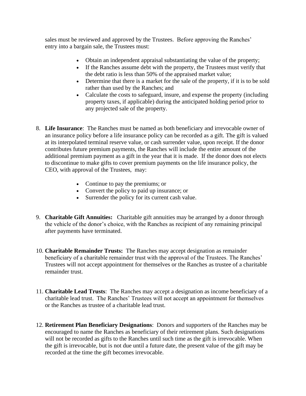sales must be reviewed and approved by the Trustees. Before approving the Ranches' entry into a bargain sale, the Trustees must:

- Obtain an independent appraisal substantiating the value of the property;
- If the Ranches assume debt with the property, the Trustees must verify that the debt ratio is less than 50% of the appraised market value;
- Determine that there is a market for the sale of the property, if it is to be sold rather than used by the Ranches; and
- Calculate the costs to safeguard, insure, and expense the property (including property taxes, if applicable) during the anticipated holding period prior to any projected sale of the property.
- 8. **Life Insurance**: The Ranches must be named as both beneficiary and irrevocable owner of an insurance policy before a life insurance policy can be recorded as a gift. The gift is valued at its interpolated terminal reserve value, or cash surrender value, upon receipt. If the donor contributes future premium payments, the Ranches will include the entire amount of the additional premium payment as a gift in the year that it is made. If the donor does not elects to discontinue to make gifts to cover premium payments on the life insurance policy, the CEO, with approval of the Trustees, may:
	- Continue to pay the premiums; or
	- Convert the policy to paid up insurance; or
	- Surrender the policy for its current cash value.
- 9. **Charitable Gift Annuities:** Charitable gift annuities may be arranged by a donor through the vehicle of the donor's choice, with the Ranches as recipient of any remaining principal after payments have terminated.
- 10. **Charitable Remainder Trusts:** The Ranches may accept designation as remainder beneficiary of a charitable remainder trust with the approval of the Trustees. The Ranches' Trustees will not accept appointment for themselves or the Ranches as trustee of a charitable remainder trust.
- 11. **Charitable Lead Trusts**: The Ranches may accept a designation as income beneficiary of a charitable lead trust. The Ranches' Trustees will not accept an appointment for themselves or the Ranches as trustee of a charitable lead trust.
- 12. **Retirement Plan Beneficiary Designations**: Donors and supporters of the Ranches may be encouraged to name the Ranches as beneficiary of their retirement plans. Such designations will not be recorded as gifts to the Ranches until such time as the gift is irrevocable. When the gift is irrevocable, but is not due until a future date, the present value of the gift may be recorded at the time the gift becomes irrevocable.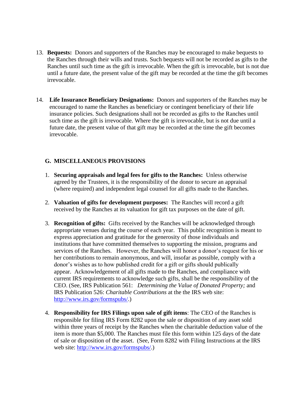- 13. **Bequests:** Donors and supporters of the Ranches may be encouraged to make bequests to the Ranches through their wills and trusts. Such bequests will not be recorded as gifts to the Ranches until such time as the gift is irrevocable. When the gift is irrevocable, but is not due until a future date, the present value of the gift may be recorded at the time the gift becomes irrevocable.
- 14. **Life Insurance Beneficiary Designations:** Donors and supporters of the Ranches may be encouraged to name the Ranches as beneficiary or contingent beneficiary of their life insurance policies. Such designations shall not be recorded as gifts to the Ranches until such time as the gift is irrevocable. Where the gift is irrevocable, but is not due until a future date, the present value of that gift may be recorded at the time the gift becomes irrevocable.

## **G. MISCELLANEOUS PROVISIONS**

- 1. **Securing appraisals and legal fees for gifts to the Ranches:** Unless otherwise agreed by the Trustees, it is the responsibility of the donor to secure an appraisal (where required) and independent legal counsel for all gifts made to the Ranches.
- 2. **Valuation of gifts for development purposes:** The Ranches will record a gift received by the Ranches at its valuation for gift tax purposes on the date of gift.
- 3. **Recognition of gifts:** Gifts received by the Ranches will be acknowledged through appropriate venues during the course of each year. This public recognition is meant to express appreciation and gratitude for the generosity of those individuals and institutions that have committed themselves to supporting the mission, programs and services of the Ranches. However, the Ranches will honor a donor's request for his or her contributions to remain anonymous, and will, insofar as possible, comply with a donor's wishes as to how published credit for a gift or gifts should publically appear. Acknowledgement of all gifts made to the Ranches, and compliance with current IRS requirements to acknowledge such gifts, shall be the responsibility of the CEO. (See, IRS Publication 561: *Determining the Value of Donated Property;* and IRS Publication 526: *Charitable Contributions* at the the IRS web site: [http://www.irs.gov/formspubs/.](http://www.irs.gov/formspubs/))
- 4. **Responsibility for IRS Filings upon sale of gift items**: The CEO of the Ranches is responsible for filing IRS Form 8282 upon the sale or disposition of any asset sold within three years of receipt by the Ranches when the charitable deduction value of the item is more than \$5,000. The Ranches must file this form within 125 days of the date of sale or disposition of the asset. (See, Form 8282 with Filing Instructions at the IRS web site: [http://www.irs.gov/formspubs/.](http://www.irs.gov/formspubs/))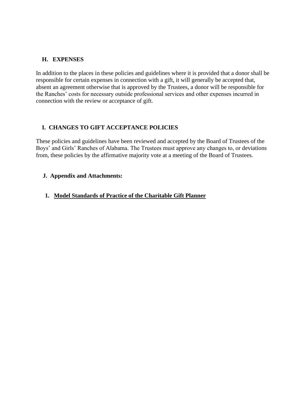## **H. EXPENSES**

In addition to the places in these policies and guidelines where it is provided that a donor shall be responsible for certain expenses in connection with a gift, it will generally be accepted that, absent an agreement otherwise that is approved by the Trustees, a donor will be responsible for the Ranches' costs for necessary outside professional services and other expenses incurred in connection with the review or acceptance of gift.

## **I. CHANGES TO GIFT ACCEPTANCE POLICIES**

These policies and guidelines have been reviewed and accepted by the Board of Trustees of the Boys' and Girls' Ranches of Alabama. The Trustees must approve any changes to, or deviations from, these policies by the affirmative majority vote at a meeting of the Board of Trustees.

## **J. Appendix and Attachments:**

## **1. Model Standards of Practice of the Charitable Gift Planner**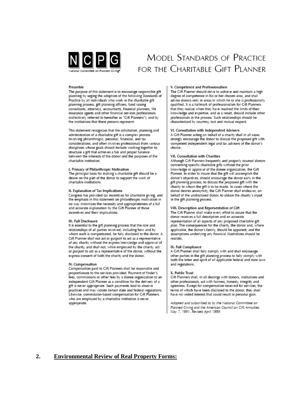

## **MODEL STANDARDS OF PRACTICE** FOR THE CHARITABLE GIFT PLANNER

### Preamble

The purpose of this statement is to encourage responsible gift planning by urging the adoption of the following Standards of Practice by all individuals who work in the charitable gift planning process, gift planning officers, fund raising consultants, attorneys, accountants, financial planners, life insurance agents and other financial services professionals (collectively referred to hereafter as "Gift Planners"), and by the institutions that these persons represent.

This statement recognizes that the solicitation, planning and administration of a charitable gift is a complex process involving philanthropic, personal, financial, and tax considerations, and often involves professionals from various disciplines whose goals should include working together to structure a gift that achieves a fair and proper balance between the interests of the donor and the purposes of the charitable institution.

### I. Primacy of Philanthropic Motivation

The principal basis for making a charitable gift should be a desire on the part of the donor to support the work of charitable institutions.

### II. Explanation of Tax Implications

Congress has provided tax incentives for charitable giving, and the emphasis in this statement on philanthropic motivation in no way minimizes the necessity and appropriateness of a full and accurate explanation by the Cift Planner of those incentives and their implications.

#### III. Full Disclosure

It is essential to the gift planning process that the role and relationships of all parties involved, including how and by whom each is compensated, be fully disclosed to the donor. A Gift Planner shall not act or purport to act as a representative of any charity without the express knowledge and approval of the charity, and shall not, while employed by the charity, act or purport to act as a representative of the donor, without the express consent of both the charity and the donor.

### IV. Compensation

Compensation paid to Gift Planners shall be reasonable and proportionate to the services provided. Payment of finder's fees, commissions or other fees by a donee organization to an independent Gift Planner as a condition for the delivery of a gift is never appropriate. Such payments lead to abusive practices and may violate certain state and federal regulations. Likewise, commission-based compensation for Gift Planners who are employed by a charitable institution is never appropriate.

### V. Competence and Professionalism

The Cift Planner should strive to achieve and maintain a high degree of competence in his or her chosen area, and shall advise donors only in areas in which he or she is professionally qualified. It is a hallmark of professionalism for Gift Planners that they realize when they have reached the limits of their knowledge and expertise, and as a result, should include other professionals in the process. Such relationships should be characterized by courtesy, tact and mutual respect.

### VI. Consultation with Independent Advisers

A Gift Planner acting on behalf of a charity shall in all cases<br>strongly encourage the donor to discuss the proposed gift with competent independent legal and tax advisers of the donor's choice.

### VII. Consultation with Charities

Although Gift Planners frequently and properly counsel donors concerning specific charitable gifts without the prior knowledge or approval of the donee organization, the Gift Planner, in order to insure that the gift will accomplish the donor's objectives, should encourage the donor early in the gift planning process, to discuss the proposed gift with the charity to whom the gift is to be made. In cases where the donor desires anonymity, the Gift Planner shall endeavor, on behalf of the undisclosed donor, to obtain the charity's input in the gift planning process.

### VIII. Description and Representation of Gift

The Gift Planner shall make every effort to assure that the donor receives a full description and an accurate representation of all aspects of any proposed charitable gift plan. The consequences for the charity, the donor and, where applicable, the donor's family, should be apparent, and the assumptions underlying any financial illustrations should be realistic.

### IX. Full Compliance

A Gift Planner shall fully comply with and shall encourage other parties in the gift planning process to fully comply with both the letter and spirit of all applicable federal and state laws and regulations.

### X. Public Trust

Gift Planners shall, in all dealings with donors, institutions and other professionals, act with fairness, honesty, integrity and openness. Except for compensation received for services, the terms of which have been disclosed to the donor, they shall have no vested interest that could result in personal gain.

Adopted and subscribed to by the National Committee on Planned Civing and the American Council on Cift Annuities, May 7, 1991. Revised April 1999.

### **2. Environmental Review of Real Property Forms:**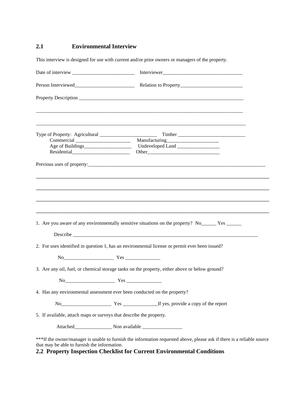## **2.1 Environmental Interview**

This interview is designed for use with current and/or prior owners or managers of the property.

| Type of Property: Agricultural ________________________                  |                                                                                                                        |
|--------------------------------------------------------------------------|------------------------------------------------------------------------------------------------------------------------|
|                                                                          |                                                                                                                        |
|                                                                          |                                                                                                                        |
|                                                                          |                                                                                                                        |
|                                                                          |                                                                                                                        |
|                                                                          | 1. Are you aware of any environmentally sensitive situations on the property? No ________ Yes _______                  |
|                                                                          |                                                                                                                        |
|                                                                          | 2. For uses identified in question 1, has an environmental license or permit ever been issued?                         |
|                                                                          |                                                                                                                        |
|                                                                          | 3. Are any oil, fuel, or chemical storage tanks on the property, either above or below ground?                         |
| $No$ $Yes$ $Yes$ $\\$                                                    |                                                                                                                        |
| 4. Has any environmental assessment ever been conducted on the property? |                                                                                                                        |
|                                                                          | No <u>Communications</u> Yes <u>Communications</u> Yes <b>Example 2014</b> Yes, provide a copy of the report           |
| 5. If available, attach maps or surveys that describe the property.      |                                                                                                                        |
|                                                                          |                                                                                                                        |
| that may be able to furnish the information.                             | ***If the owner/manager is unable to furnish the information requested above, please ask if there is a reliable source |

## **2.2 Property Inspection Checklist for Current Environmental Conditions**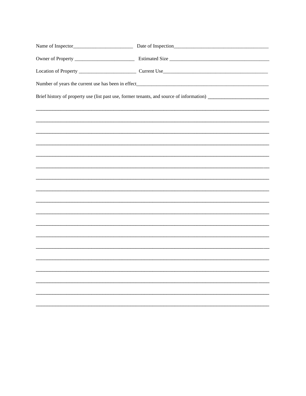| Name of Inspector_ | Date of Inspection_ |
|--------------------|---------------------|
|                    |                     |
|                    |                     |
|                    |                     |
|                    |                     |
|                    |                     |
|                    |                     |
|                    |                     |
|                    |                     |
|                    |                     |
|                    |                     |
|                    |                     |
|                    |                     |
|                    |                     |
|                    |                     |
|                    |                     |
|                    |                     |
|                    |                     |
|                    |                     |
|                    |                     |
|                    |                     |
|                    |                     |
|                    |                     |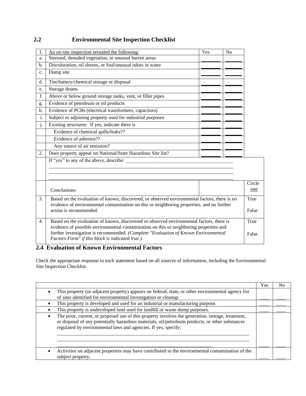| 1.               | Yes<br>An on-site inspection revealed the following:                                                                                                                                      | $\rm No$ |        |
|------------------|-------------------------------------------------------------------------------------------------------------------------------------------------------------------------------------------|----------|--------|
| a.               | Stressed, denuded vegetation, or unusual barren areas                                                                                                                                     |          |        |
| b.               | Discoloration, oil sheens, or foul/unusual odors in water                                                                                                                                 |          |        |
| c.               | Dump site                                                                                                                                                                                 |          |        |
| d.               | Tire/battery/chemical storage or disposal                                                                                                                                                 |          |        |
| e.               | Storage drums                                                                                                                                                                             |          |        |
| f.               | Above or below ground storage tanks, vent, or filler pipes                                                                                                                                |          |        |
| g.               | Evidence of petroleum or oil products                                                                                                                                                     |          |        |
| h.               | Evidence of PCBs (electrical transformers, capacitors)                                                                                                                                    |          |        |
| i.               | Subject or adjoining property used for industrial purposes                                                                                                                                |          |        |
| j.               | Existing structures: If yes, indicate there is                                                                                                                                            |          |        |
|                  | Evidence of chemical spills/leaks??                                                                                                                                                       |          |        |
|                  | Evidence of asbestos??                                                                                                                                                                    |          |        |
|                  | Any source of air emission?                                                                                                                                                               |          |        |
| 2.               | Does property appear on National/State Hazardous Site list?                                                                                                                               |          |        |
|                  | If "yes" to any of the above, describe:                                                                                                                                                   |          |        |
|                  |                                                                                                                                                                                           |          |        |
|                  |                                                                                                                                                                                           |          |        |
|                  |                                                                                                                                                                                           |          | Circle |
|                  | Conclusions:                                                                                                                                                                              |          | one    |
| 3.               | Based on the evaluation of known, discovered, or observed environmental factors, there is no<br>evidence of environmental contamination on this or neighboring properties, and no further |          | True   |
|                  | action is recommended.                                                                                                                                                                    |          | False  |
| $\overline{4}$ . | Based on the evaluation of known, discovered or observed environmental factors, there is                                                                                                  |          | True   |
|                  | evidence of possible environmental contamination on this or neighboring properties and                                                                                                    |          |        |
|                  | further investigation is recommended. (Complete "Evaluation of Known Environmental<br>Factors Form" if this block is indicated true.)                                                     |          | False  |

## **2.2 Environmental Site Inspection Checklist**

**2.4 Evaluation of Known Environmental Factors** 

Check the appropriate response to each statement based on all sources of information, including the Environmental Site Inspection Checklist.

|                                                                                                                                                                                                                                                                        | Yes | No |
|------------------------------------------------------------------------------------------------------------------------------------------------------------------------------------------------------------------------------------------------------------------------|-----|----|
| This property (or adjacent property) appears on federal, state, or other environmental agency list<br>of sites identified for environmental investigation or cleanup.                                                                                                  |     |    |
| This property is developed and used for an industrial or manufacturing purpose.                                                                                                                                                                                        |     |    |
| This property is undeveloped land used for landfill or waste dump purposes.                                                                                                                                                                                            |     |    |
| The prior, current, or proposed use of this property involves the generation, storage, treatment,<br>or disposal of any potentially hazardous materials, oil/petroleum products, or other substances<br>regulated by environmental laws and agencies. If yes, specify: |     |    |
| Activities on adjacent properties may have contributed to the environmental contamination of the<br>subject property.                                                                                                                                                  |     |    |